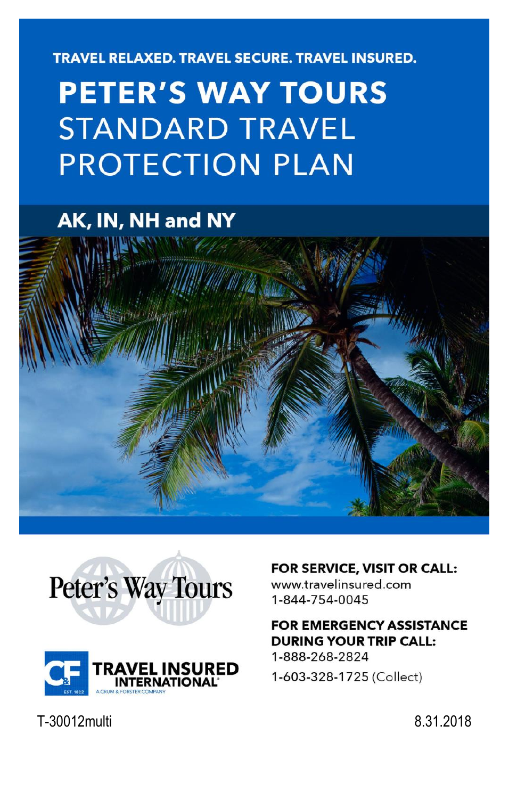**TRAVEL RELAXED. TRAVEL SECURE. TRAVEL INSURED.** 

# **PETER'S WAY TOURS STANDARD TRAVEL PROTECTION PLAN**

## AK, IN, NH and NY







#### FOR SERVICE, VISIT OR CALL:

www.travelinsured.com 1-844-754-0045

#### **FOR EMERGENCY ASSISTANCE DURING YOUR TRIP CALL:**

1-888-268-2824 1-603-328-1725 (Collect)

T-30012multi 8.31.2018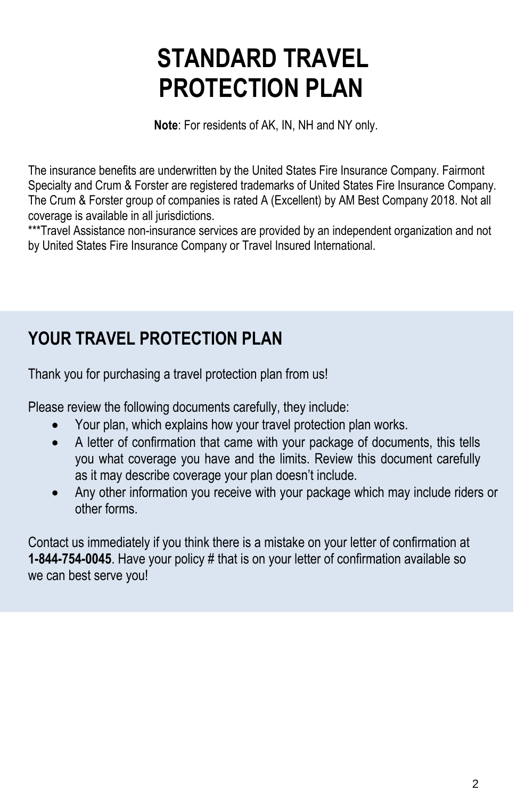# **STANDARD TRAVEL PROTECTION PLAN**

**Note**: For residents of AK, IN, NH and NY only.

The insurance benefits are underwritten by the United States Fire Insurance Company. Fairmont Specialty and Crum & Forster are registered trademarks of United States Fire Insurance Company. The Crum & Forster group of companies is rated A (Excellent) by AM Best Company 2018. Not all coverage is available in all jurisdictions.

\*\*\*Travel Assistance non-insurance services are provided by an independent organization and not by United States Fire Insurance Company or Travel Insured International.

## **YOUR TRAVEL PROTECTION PLAN**

Thank you for purchasing a travel protection plan from us!

Please review the following documents carefully, they include:

- Your plan, which explains how your travel protection plan works.
- A letter of confirmation that came with your package of documents, this tells you what coverage you have and the limits. Review this document carefully as it may describe coverage your plan doesn't include.
- Any other information you receive with your package which may include riders or other forms.

Contact us immediately if you think there is a mistake on your letter of confirmation at **1-844-754-0045**. Have your policy # that is on your letter of confirmation available so we can best serve you!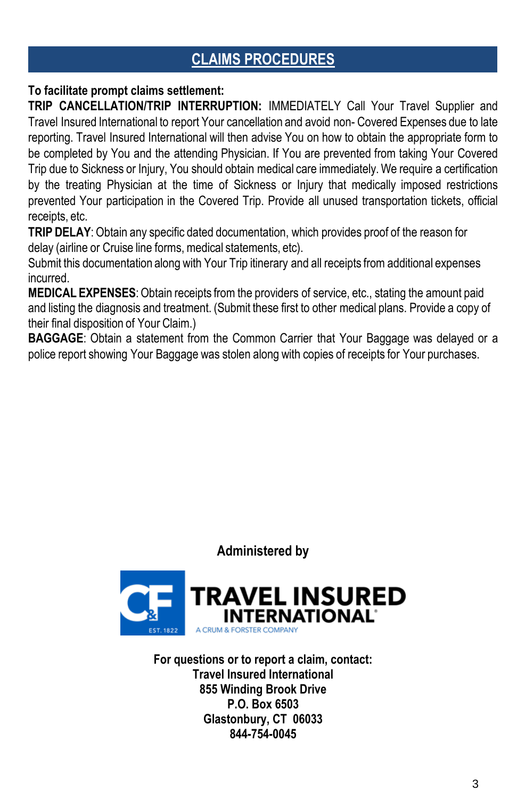## **CLAIMS PROCEDURES**

#### **To facilitate prompt claims settlement:**

**TRIP CANCELLATION/TRIP INTERRUPTION:** IMMEDIATELY Call Your Travel Supplier and Travel Insured International to report Your cancellation and avoid non- Covered Expenses due to late reporting. Travel Insured International will then advise You on how to obtain the appropriate form to be completed by You and the attending Physician. If You are prevented from taking Your Covered Trip due to Sickness or Injury, You should obtain medical care immediately. We require a certification by the treating Physician at the time of Sickness or Injury that medically imposed restrictions prevented Your participation in the Covered Trip. Provide all unused transportation tickets, official receipts, etc.

**TRIP DELAY**: Obtain any specific dated documentation, which provides proof of the reason for delay (airline or Cruise line forms, medical statements, etc).

Submit this documentation along with Your Trip itinerary and all receipts from additional expenses incurred.

**MEDICAL EXPENSES**:Obtain receipts from the providers of service, etc., stating the amount paid and listing the diagnosis and treatment. (Submit these first to other medical plans. Provide a copy of their final disposition of Your Claim.)

**BAGGAGE**: Obtain a statement from the Common Carrier that Your Baggage was delayed or a police report showing Your Baggage was stolen along with copies of receipts for Your purchases.

**Administered by**



**For questions or to report a claim, contact: Travel Insured International 855 Winding Brook Drive P.O. Box 6503 Glastonbury, CT 06033 844-754-0045**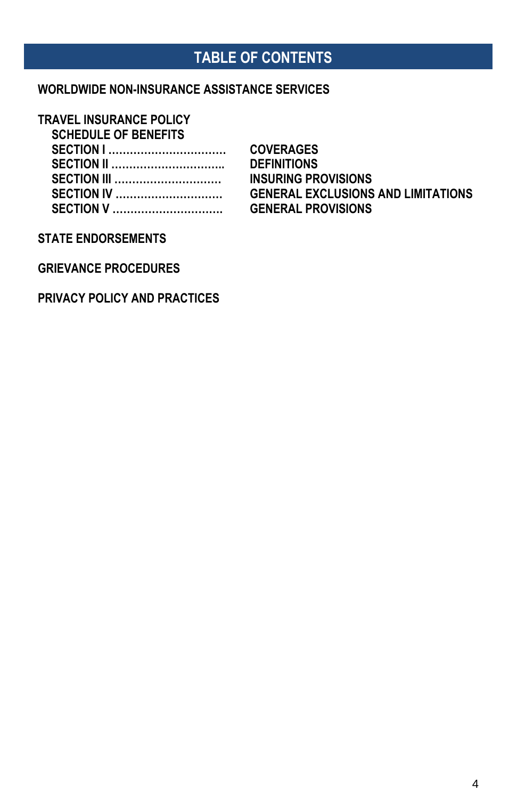## **TABLE OF CONTENTS**

#### **WORLDWIDE NON-INSURANCE ASSISTANCE SERVICES**

#### **TRAVEL INSURANCE POLICY**

**SCHEDULE OF BENEFITS**

| <b>SECTION I </b>  |
|--------------------|
| <b>SECTION II</b>  |
| <b>SECTION III</b> |
| <b>SECTION IV </b> |
| <b>SECTION V</b>   |

**SECTION I …………………………… COVERAGES SECTION II ………………………….. DEFINITIONS INSURING PROVISIONS GENERAL EXCLUSIONS AND LIMITATIONS SECTION V …………………………. GENERAL PROVISIONS**

#### **STATE ENDORSEMENTS**

**GRIEVANCE PROCEDURES**

#### **PRIVACY POLICY AND PRACTICES**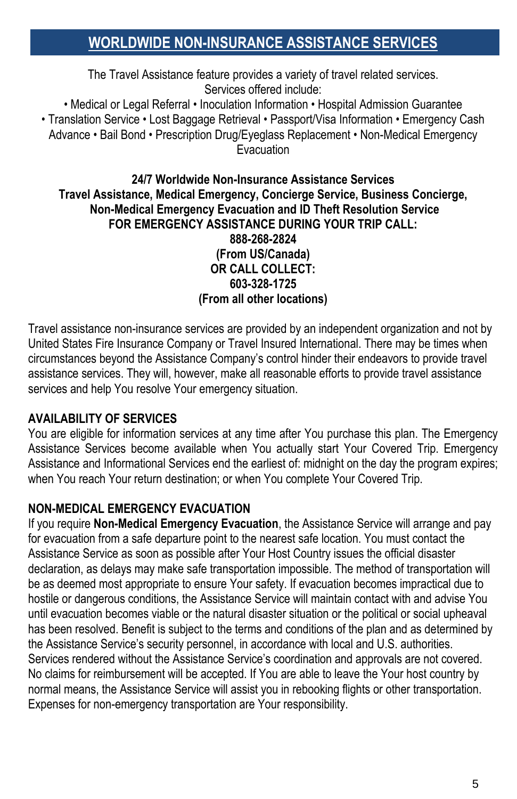## **WORLDWIDE NON-INSURANCE ASSISTANCE SERVICES**

The Travel Assistance feature provides a variety of travel related services. Services offered include:

• Medical or Legal Referral • Inoculation Information • Hospital Admission Guarantee

• Translation Service • Lost Baggage Retrieval • Passport/Visa Information • Emergency Cash Advance • Bail Bond • Prescription Drug/Eyeglass Replacement • Non-Medical Emergency Evacuation

#### **24/7 Worldwide Non-Insurance Assistance Services Travel Assistance, Medical Emergency, Concierge Service, Business Concierge, Non-Medical Emergency Evacuation and ID Theft Resolution Service FOR EMERGENCY ASSISTANCE DURING YOUR TRIP CALL: 888-268-2824 (From US/Canada) OR CALL COLLECT: 603-328-1725 (From all other locations)**

Travel assistance non-insurance services are provided by an independent organization and not by United States Fire Insurance Company or Travel Insured International. There may be times when circumstances beyond the Assistance Company's control hinder their endeavors to provide travel assistance services. They will, however, make all reasonable efforts to provide travel assistance services and help You resolve Your emergency situation.

#### **AVAILABILITY OF SERVICES**

You are eligible for information services at any time after You purchase this plan. The Emergency Assistance Services become available when You actually start Your Covered Trip. Emergency Assistance and Informational Services end the earliest of: midnight on the day the program expires; when You reach Your return destination; or when You complete Your Covered Trip.

#### **NON-MEDICAL EMERGENCY EVACUATION**

If you require **Non-Medical Emergency Evacuation**, the Assistance Service will arrange and pay for evacuation from a safe departure point to the nearest safe location. You must contact the Assistance Service as soon as possible after Your Host Country issues the official disaster declaration, as delays may make safe transportation impossible. The method of transportation will be as deemed most appropriate to ensure Your safety. If evacuation becomes impractical due to hostile or dangerous conditions, the Assistance Service will maintain contact with and advise You until evacuation becomes viable or the natural disaster situation or the political or social upheaval has been resolved. Benefit is subject to the terms and conditions of the plan and as determined by the Assistance Service's security personnel, in accordance with local and U.S. authorities. Services rendered without the Assistance Service's coordination and approvals are not covered. No claims for reimbursement will be accepted. If You are able to leave the Your host country by normal means, the Assistance Service will assist you in rebooking flights or other transportation. Expenses for non-emergency transportation are Your responsibility.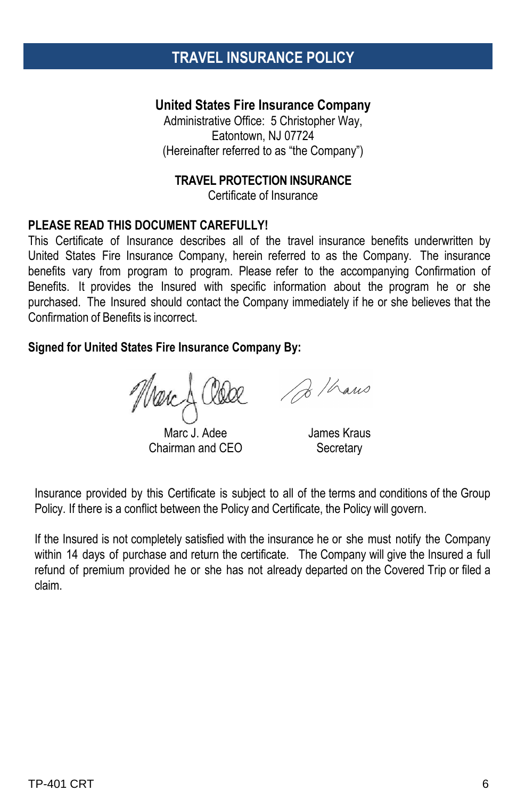## **TRAVEL INSURANCE POLICY**

#### **United States Fire Insurance Company**

Administrative Office: 5 Christopher Way, Eatontown, NJ 07724 (Hereinafter referred to as "the Company")

#### **TRAVEL PROTECTION INSURANCE**

Certificate of Insurance

#### **PLEASE READ THIS DOCUMENT CAREFULLY!**

This Certificate of Insurance describes all of the travel insurance benefits underwritten by United States Fire Insurance Company, herein referred to as the Company. The insurance benefits vary from program to program. Please refer to the accompanying Confirmation of Benefits. It provides the Insured with specific information about the program he or she purchased. The Insured should contact the Company immediately if he or she believes that the Confirmation of Benefits is incorrect.

#### **Signed for United States Fire Insurance Company By:**

Marc J. Adee Chairman and CEO

James Kraus

**Secretary** 

Insurance provided by this Certificate is subject to all of the terms and conditions of the Group Policy. If there is a conflict between the Policy and Certificate, the Policy will govern.

If the Insured is not completely satisfied with the insurance he or she must notify the Company within 14 days of purchase and return the certificate. The Company will give the Insured a full refund of premium provided he or she has not already departed on the Covered Trip or filed a claim.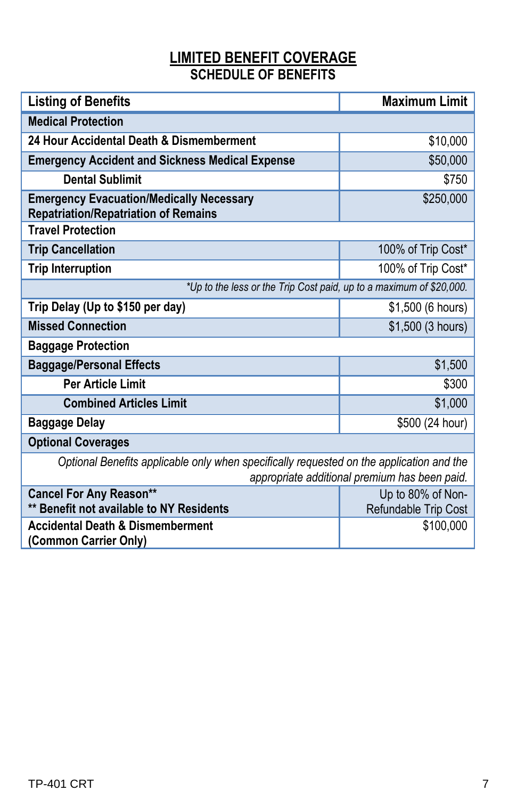### **LIMITED BENEFIT COVERAGE SCHEDULE OF BENEFITS**

| <b>Listing of Benefits</b>                                                                                                                | <b>Maximum Limit</b> |  |
|-------------------------------------------------------------------------------------------------------------------------------------------|----------------------|--|
| <b>Medical Protection</b>                                                                                                                 |                      |  |
| 24 Hour Accidental Death & Dismemberment                                                                                                  | \$10,000             |  |
| <b>Emergency Accident and Sickness Medical Expense</b>                                                                                    | \$50,000             |  |
| <b>Dental Sublimit</b>                                                                                                                    | \$750                |  |
| <b>Emergency Evacuation/Medically Necessary</b><br><b>Repatriation/Repatriation of Remains</b>                                            | \$250,000            |  |
| <b>Travel Protection</b>                                                                                                                  |                      |  |
| <b>Trip Cancellation</b>                                                                                                                  | 100% of Trip Cost*   |  |
| <b>Trip Interruption</b>                                                                                                                  | 100% of Trip Cost*   |  |
| *Up to the less or the Trip Cost paid, up to a maximum of \$20,000.                                                                       |                      |  |
| Trip Delay (Up to \$150 per day)                                                                                                          | \$1,500 (6 hours)    |  |
| <b>Missed Connection</b>                                                                                                                  | \$1,500 (3 hours)    |  |
| <b>Baggage Protection</b>                                                                                                                 |                      |  |
| <b>Baggage/Personal Effects</b>                                                                                                           | \$1,500              |  |
| <b>Per Article Limit</b>                                                                                                                  | \$300                |  |
| <b>Combined Articles Limit</b>                                                                                                            | \$1,000              |  |
| <b>Baggage Delay</b>                                                                                                                      | \$500 (24 hour)      |  |
| <b>Optional Coverages</b>                                                                                                                 |                      |  |
| Optional Benefits applicable only when specifically requested on the application and the<br>appropriate additional premium has been paid. |                      |  |
| <b>Cancel For Any Reason**</b>                                                                                                            | Up to 80% of Non-    |  |
| ** Benefit not available to NY Residents                                                                                                  | Refundable Trip Cost |  |
| <b>Accidental Death &amp; Dismemberment</b><br>(Common Carrier Only)                                                                      | \$100,000            |  |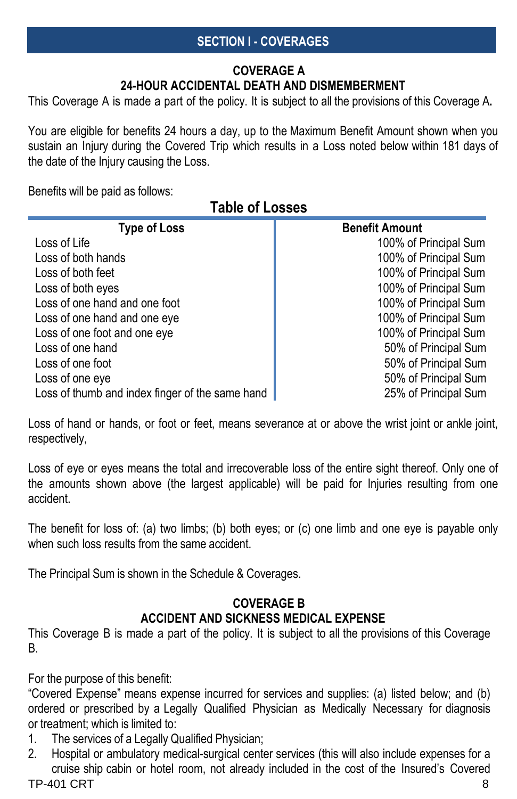#### **SECTION I - COVERAGES**

#### **COVERAGE A 24-HOUR ACCIDENTAL DEATH AND DISMEMBERMENT**

This Coverage A is made a part of the policy. It is subject to all the provisions of this Coverage A**.**

You are eligible for benefits 24 hours a day, up to the Maximum Benefit Amount shown when you sustain an Injury during the Covered Trip which results in a Loss noted below within 181 days of the date of the Injury causing the Loss.

Benefits will be paid as follows:

### **Table of Losses**

| <b>Type of Loss</b>                             | <b>Benefit Amount</b> |
|-------------------------------------------------|-----------------------|
| Loss of Life                                    | 100% of Principal Sum |
| Loss of both hands                              | 100% of Principal Sum |
| Loss of both feet                               | 100% of Principal Sum |
| Loss of both eyes                               | 100% of Principal Sum |
| Loss of one hand and one foot                   | 100% of Principal Sum |
| Loss of one hand and one eye                    | 100% of Principal Sum |
| Loss of one foot and one eye                    | 100% of Principal Sum |
| Loss of one hand                                | 50% of Principal Sum  |
| Loss of one foot                                | 50% of Principal Sum  |
| Loss of one eye                                 | 50% of Principal Sum  |
| Loss of thumb and index finger of the same hand | 25% of Principal Sum  |

Loss of hand or hands, or foot or feet, means severance at or above the wrist joint or ankle joint, respectively,

Loss of eye or eyes means the total and irrecoverable loss of the entire sight thereof. Only one of the amounts shown above (the largest applicable) will be paid for Injuries resulting from one accident.

The benefit for loss of: (a) two limbs; (b) both eyes; or (c) one limb and one eye is payable only when such loss results from the same accident

The Principal Sum is shown in the Schedule & Coverages.

#### **COVERAGE B ACCIDENT AND SICKNESS MEDICAL EXPENSE**

This Coverage B is made a part of the policy. It is subject to all the provisions of this Coverage B.

For the purpose of this benefit:

"Covered Expense" means expense incurred for services and supplies: (a) listed below; and (b) ordered or prescribed by a Legally Qualified Physician as Medically Necessary for diagnosis or treatment; which is limited to:

- 1. The services of a Legally Qualified Physician;
- TP-401 CRT 8 2. Hospital or ambulatory medical-surgical center services (this will also include expenses for a cruise ship cabin or hotel room, not already included in the cost of the Insured's Covered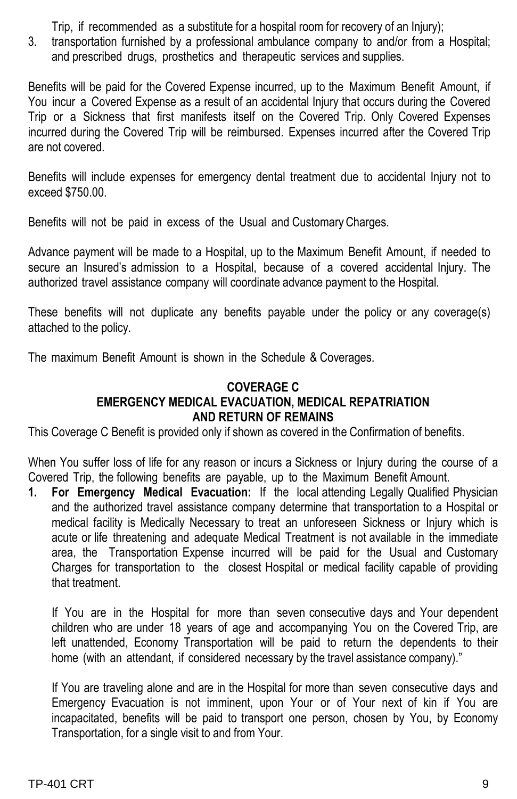Trip, if recommended as a substitute for a hospital room for recovery of an Injury);

3. transportation furnished by a professional ambulance company to and/or from a Hospital; and prescribed drugs, prosthetics and therapeutic services and supplies.

Benefits will be paid for the Covered Expense incurred, up to the Maximum Benefit Amount, if You incur a Covered Expense as a result of an accidental Injury that occurs during the Covered Trip or a Sickness that first manifests itself on the Covered Trip. Only Covered Expenses incurred during the Covered Trip will be reimbursed. Expenses incurred after the Covered Trip are not covered.

Benefits will include expenses for emergency dental treatment due to accidental Injury not to exceed \$750.00.

Benefits will not be paid in excess of the Usual and CustomaryCharges.

Advance payment will be made to a Hospital, up to the Maximum Benefit Amount, if needed to secure an Insured's admission to a Hospital, because of a covered accidental Injury. The authorized travel assistance company will coordinate advance payment to the Hospital.

These benefits will not duplicate any benefits payable under the policy or any coverage(s) attached to the policy.

The maximum Benefit Amount is shown in the Schedule & Coverages.

#### **COVERAGE C EMERGENCY MEDICAL EVACUATION, MEDICAL REPATRIATION AND RETURN OF REMAINS**

This Coverage C Benefit is provided only if shown as covered in the Confirmation of benefits.

When You suffer loss of life for any reason or incurs a Sickness or Injury during the course of a Covered Trip, the following benefits are payable, up to the Maximum Benefit Amount.

**1. For Emergency Medical Evacuation:** If the local attending Legally Qualified Physician and the authorized travel assistance company determine that transportation to a Hospital or medical facility is Medically Necessary to treat an unforeseen Sickness or Injury which is acute or life threatening and adequate Medical Treatment is not available in the immediate area, the Transportation Expense incurred will be paid for the Usual and Customary Charges for transportation to the closest Hospital or medical facility capable of providing that treatment.

If You are in the Hospital for more than seven consecutive days and Your dependent children who are under 18 years of age and accompanying You on the Covered Trip, are left unattended, Economy Transportation will be paid to return the dependents to their home (with an attendant, if considered necessary by the travel assistance company)."

If You are traveling alone and are in the Hospital for more than seven consecutive days and Emergency Evacuation is not imminent, upon Your or of Your next of kin if You are incapacitated, benefits will be paid to transport one person, chosen by You, by Economy Transportation, for a single visit to and from Your.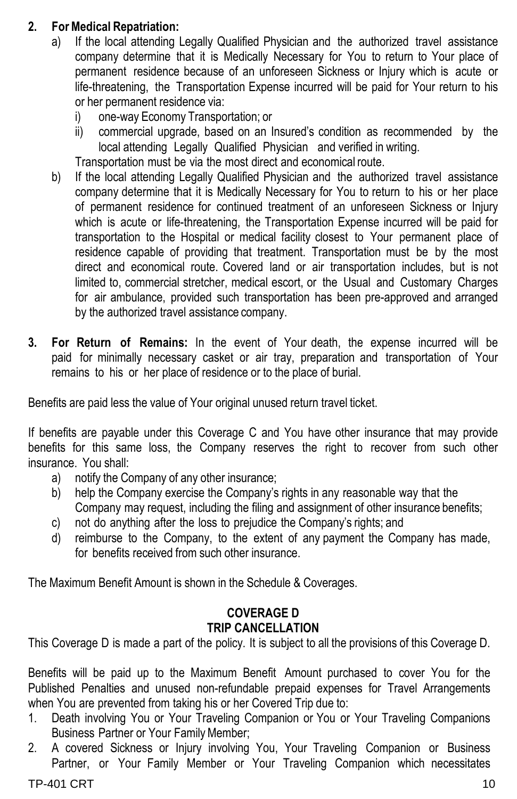#### **2. ForMedical Repatriation:**

- a) If the local attending Legally Qualified Physician and the authorized travel assistance company determine that it is Medically Necessary for You to return to Your place of permanent residence because of an unforeseen Sickness or Injury which is acute or life-threatening, the Transportation Expense incurred will be paid for Your return to his or her permanent residence via:
	- i) one-way Economy Transportation; or
	- ii) commercial upgrade, based on an Insured's condition as recommended by the local attending Legally Qualified Physician and verified in writing.

Transportation must be via the most direct and economical route.

- b) If the local attending Legally Qualified Physician and the authorized travel assistance company determine that it is Medically Necessary for You to return to his or her place of permanent residence for continued treatment of an unforeseen Sickness or Injury which is acute or life-threatening, the Transportation Expense incurred will be paid for transportation to the Hospital or medical facility closest to Your permanent place of residence capable of providing that treatment. Transportation must be by the most direct and economical route. Covered land or air transportation includes, but is not limited to, commercial stretcher, medical escort, or the Usual and Customary Charges for air ambulance, provided such transportation has been pre-approved and arranged by the authorized travel assistance company.
- **3. For Return of Remains:** In the event of Your death, the expense incurred will be paid for minimally necessary casket or air tray, preparation and transportation of Your remains to his or her place of residence or to the place of burial.

Benefits are paid less the value of Your original unused return travel ticket.

If benefits are payable under this Coverage C and You have other insurance that may provide benefits for this same loss, the Company reserves the right to recover from such other insurance. You shall:

- a) notify the Company of any other insurance;
- b) help the Company exercise the Company's rights in any reasonable way that the Company may request, including the filing and assignment of other insurance benefits;
- c) not do anything after the loss to prejudice the Company's rights; and
- d) reimburse to the Company, to the extent of any payment the Company has made, for benefits received from such other insurance.

The Maximum Benefit Amount is shown in the Schedule & Coverages.

#### **COVERAGE D TRIP CANCELLATION**

This Coverage D is made a part of the policy. It is subject to all the provisions of this Coverage D.

Benefits will be paid up to the Maximum Benefit Amount purchased to cover You for the Published Penalties and unused non-refundable prepaid expenses for Travel Arrangements when You are prevented from taking his or her Covered Trip due to:

- 1. Death involving You or Your Traveling Companion or You or Your Traveling Companions Business Partner or Your Family Member;
- 2. A covered Sickness or Injury involving You, Your Traveling Companion or Business Partner, or Your Family Member or Your Traveling Companion which necessitates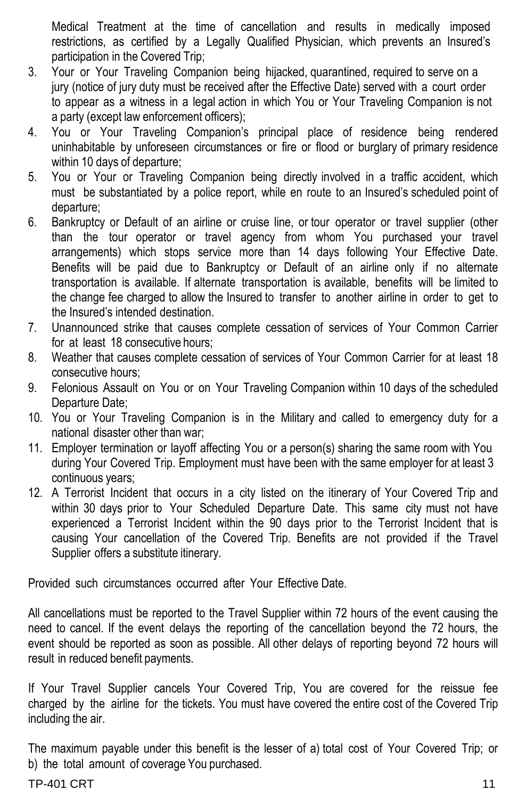Medical Treatment at the time of cancellation and results in medically imposed restrictions, as certified by a Legally Qualified Physician, which prevents an Insured's participation in the Covered Trip;

- 3. Your or Your Traveling Companion being hijacked, quarantined, required to serve on a jury (notice of jury duty must be received after the Effective Date) served with a court order to appear as a witness in a legal action in which You or Your Traveling Companion is not a party (except law enforcement officers);
- 4. You or Your Traveling Companion's principal place of residence being rendered uninhabitable by unforeseen circumstances or fire or flood or burglary of primary residence within 10 days of departure;
- 5. You or Your or Traveling Companion being directly involved in a traffic accident, which must be substantiated by a police report, while en route to an Insured's scheduled point of departure;
- 6. Bankruptcy or Default of an airline or cruise line, or tour operator or travel supplier (other than the tour operator or travel agency from whom You purchased your travel arrangements) which stops service more than 14 days following Your Effective Date. Benefits will be paid due to Bankruptcy or Default of an airline only if no alternate transportation is available. If alternate transportation is available, benefits will be limited to the change fee charged to allow the Insured to transfer to another airline in order to get to the Insured's intended destination.
- 7. Unannounced strike that causes complete cessation of services of Your Common Carrier for at least 18 consecutive hours;
- 8. Weather that causes complete cessation of services of Your Common Carrier for at least 18 consecutive hours;
- 9. Felonious Assault on You or on Your Traveling Companion within 10 days of the scheduled Departure Date;
- 10. You or Your Traveling Companion is in the Military and called to emergency duty for a national disaster other than war;
- 11. Employer termination or layoff affecting You or a person(s) sharing the same room with You during Your Covered Trip. Employment must have been with the same employer for at least 3 continuous years;
- 12. A Terrorist Incident that occurs in a city listed on the itinerary of Your Covered Trip and within 30 days prior to Your Scheduled Departure Date. This same city must not have experienced a Terrorist Incident within the 90 days prior to the Terrorist Incident that is causing Your cancellation of the Covered Trip. Benefits are not provided if the Travel Supplier offers a substitute itinerary.

Provided such circumstances occurred after Your Effective Date.

All cancellations must be reported to the Travel Supplier within 72 hours of the event causing the need to cancel. If the event delays the reporting of the cancellation beyond the 72 hours, the event should be reported as soon as possible. All other delays of reporting beyond 72 hours will result in reduced benefit payments.

If Your Travel Supplier cancels Your Covered Trip, You are covered for the reissue fee charged by the airline for the tickets. You must have covered the entire cost of the Covered Trip including the air.

The maximum payable under this benefit is the lesser of a) total cost of Your Covered Trip; or b) the total amount of coverage You purchased.

#### $TP-401$  CRT  $11$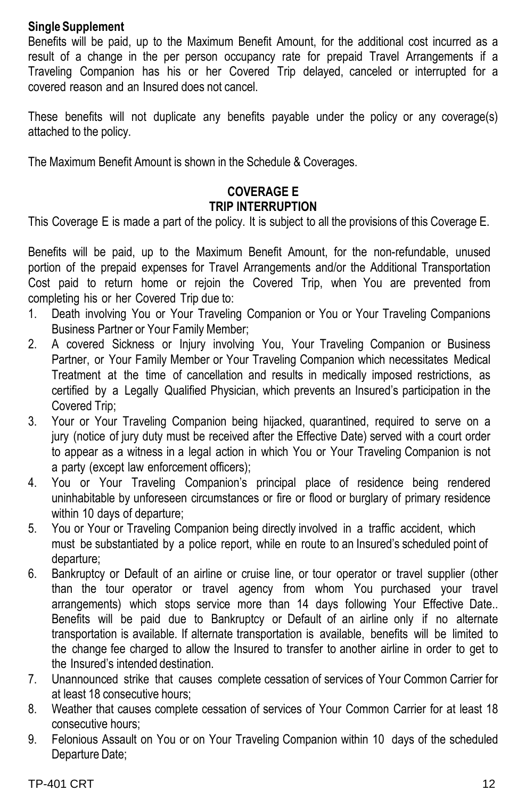#### **Single Supplement**

Benefits will be paid, up to the Maximum Benefit Amount, for the additional cost incurred as a result of a change in the per person occupancy rate for prepaid Travel Arrangements if a Traveling Companion has his or her Covered Trip delayed, canceled or interrupted for a covered reason and an Insured does not cancel.

These benefits will not duplicate any benefits payable under the policy or any coverage(s) attached to the policy.

The Maximum Benefit Amount is shown in the Schedule & Coverages.

#### **COVERAGE E TRIP INTERRUPTION**

This Coverage E is made a part of the policy. It is subject to all the provisions of this Coverage E.

Benefits will be paid, up to the Maximum Benefit Amount, for the non-refundable, unused portion of the prepaid expenses for Travel Arrangements and/or the Additional Transportation Cost paid to return home or rejoin the Covered Trip, when You are prevented from completing his or her Covered Trip due to:

- 1. Death involving You or Your Traveling Companion or You or Your Traveling Companions Business Partner or Your Family Member;
- 2. A covered Sickness or Injury involving You, Your Traveling Companion or Business Partner, or Your Family Member or Your Traveling Companion which necessitates Medical Treatment at the time of cancellation and results in medically imposed restrictions, as certified by a Legally Qualified Physician, which prevents an Insured's participation in the Covered Trip;
- 3. Your or Your Traveling Companion being hijacked, quarantined, required to serve on a jury (notice of jury duty must be received after the Effective Date) served with a court order to appear as a witness in a legal action in which You or Your Traveling Companion is not a party (except law enforcement officers);
- 4. You or Your Traveling Companion's principal place of residence being rendered uninhabitable by unforeseen circumstances or fire or flood or burglary of primary residence within 10 days of departure;
- 5. You or Your or Traveling Companion being directly involved in a traffic accident, which must be substantiated by a police report, while en route to an Insured's scheduled point of departure;
- 6. Bankruptcy or Default of an airline or cruise line, or tour operator or travel supplier (other than the tour operator or travel agency from whom You purchased your travel arrangements) which stops service more than 14 days following Your Effective Date.. Benefits will be paid due to Bankruptcy or Default of an airline only if no alternate transportation is available. If alternate transportation is available, benefits will be limited to the change fee charged to allow the Insured to transfer to another airline in order to get to the Insured's intended destination.
- 7. Unannounced strike that causes complete cessation of services of Your Common Carrier for at least 18 consecutive hours;
- 8. Weather that causes complete cessation of services of Your Common Carrier for at least 18 consecutive hours;
- 9. Felonious Assault on You or on Your Traveling Companion within 10 days of the scheduled Departure Date;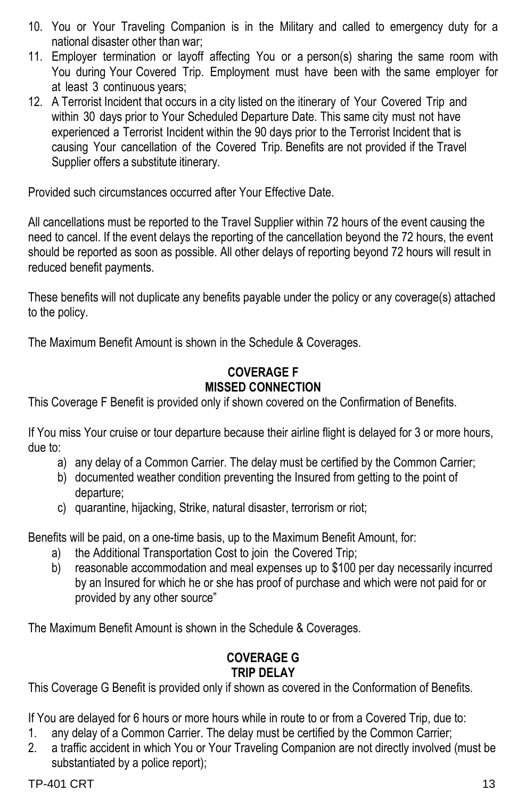- 10. You or Your Traveling Companion is in the Military and called to emergency duty for a national disaster other than war;
- 11. Employer termination or layoff affecting You or a person(s) sharing the same room with You during Your Covered Trip. Employment must have been with the same employer for at least 3 continuous years;
- 12. A Terrorist Incident that occurs in a city listed on the itinerary of Your Covered Trip and within 30 days prior to Your Scheduled Departure Date. This same city must not have experienced a Terrorist Incident within the 90 days prior to the Terrorist Incident that is causing Your cancellation of the Covered Trip. Benefits are not provided if the Travel Supplier offers a substitute itinerary.

Provided such circumstances occurred after Your Effective Date.

All cancellations must be reported to the Travel Supplier within 72 hours of the event causing the need to cancel. If the event delays the reporting of the cancellation beyond the 72 hours, the event should be reported as soon as possible. All other delays of reporting beyond 72 hours will result in reduced benefit payments.

These benefits will not duplicate any benefits payable under the policy or any coverage(s) attached to the policy.

The Maximum Benefit Amount is shown in the Schedule & Coverages.

#### **COVERAGE F MISSED CONNECTION**

This Coverage F Benefit is provided only if shown covered on the Confirmation of Benefits.

If You miss Your cruise or tour departure because their airline flight is delayed for 3 or more hours, due to:

- a) any delay of a Common Carrier. The delay must be certified by the Common Carrier;
- b) documented weather condition preventing the Insured from getting to the point of departure;
- c) quarantine, hijacking, Strike, natural disaster, terrorism or riot;

Benefits will be paid, on a one-time basis, up to the Maximum Benefit Amount, for:

- a) the Additional Transportation Cost to join the Covered Trip;
- b) reasonable accommodation and meal expenses up to \$100 per day necessarily incurred by an Insured for which he or she has proof of purchase and which were not paid for or provided by any other source"

The Maximum Benefit Amount is shown in the Schedule & Coverages.

#### **COVERAGE G TRIP DELAY**

This Coverage G Benefit is provided only if shown as covered in the Conformation of Benefits.

If You are delayed for 6 hours or more hours while in route to or from a Covered Trip, due to:

- 1. any delay of a Common Carrier. The delay must be certified by the Common Carrier;
- 2. a traffic accident in which You or Your Traveling Companion are not directly involved (must be substantiated by a police report);

 $TP-401$  CRT  $\hspace{1.5cm}$  13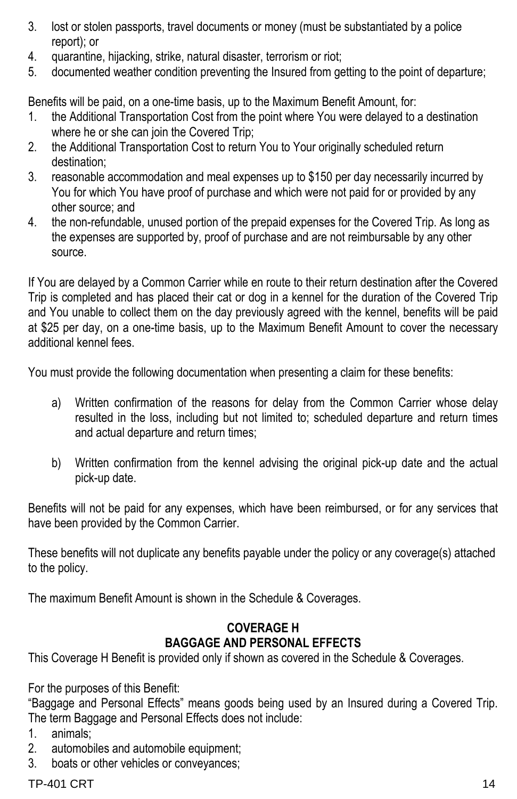- 3. lost or stolen passports, travel documents or money (must be substantiated by a police report); or
- 4. quarantine, hijacking, strike, natural disaster, terrorism or riot;
- 5. documented weather condition preventing the Insured from getting to the point of departure;

Benefits will be paid, on a one-time basis, up to the Maximum Benefit Amount, for:

- 1. the Additional Transportation Cost from the point where You were delayed to a destination where he or she can join the Covered Trip;
- 2. the Additional Transportation Cost to return You to Your originally scheduled return destination;
- 3. reasonable accommodation and meal expenses up to \$150 per day necessarily incurred by You for which You have proof of purchase and which were not paid for or provided by any other source; and
- 4. the non-refundable, unused portion of the prepaid expenses for the Covered Trip. As long as the expenses are supported by, proof of purchase and are not reimbursable by any other source.

If You are delayed by a Common Carrier while en route to their return destination after the Covered Trip is completed and has placed their cat or dog in a kennel for the duration of the Covered Trip and You unable to collect them on the day previously agreed with the kennel, benefits will be paid at \$25 per day, on a one-time basis, up to the Maximum Benefit Amount to cover the necessary additional kennel fees.

You must provide the following documentation when presenting a claim for these benefits:

- a) Written confirmation of the reasons for delay from the Common Carrier whose delay resulted in the loss, including but not limited to; scheduled departure and return times and actual departure and return times;
- b) Written confirmation from the kennel advising the original pick-up date and the actual pick-up date.

Benefits will not be paid for any expenses, which have been reimbursed, or for any services that have been provided by the Common Carrier.

These benefits will not duplicate any benefits payable under the policy or any coverage(s) attached to the policy.

The maximum Benefit Amount is shown in the Schedule & Coverages.

#### **COVERAGE H BAGGAGE AND PERSONAL EFFECTS**

This Coverage H Benefit is provided only if shown as covered in the Schedule & Coverages.

For the purposes of this Benefit:

"Baggage and Personal Effects" means goods being used by an Insured during a Covered Trip. The term Baggage and Personal Effects does not include:

- 1. animals;
- 2. automobiles and automobile equipment;
- 3. boats or other vehicles or conveyances;

 $TP-401$  CRT  $14$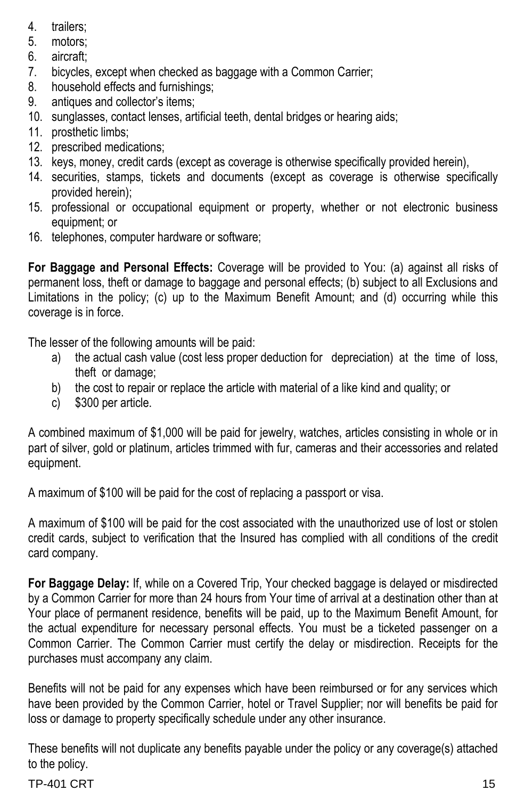- 4. trailers;
- 5. motors;
- 6. aircraft;
- 7. bicycles, except when checked as baggage with a Common Carrier;
- 8. household effects and furnishings;
- 9. antiques and collector's items;
- 10. sunglasses, contact lenses, artificial teeth, dental bridges or hearing aids;
- 11. prosthetic limbs;
- 12. prescribed medications;
- 13. keys, money, credit cards (except as coverage is otherwise specifically provided herein),
- 14. securities, stamps, tickets and documents (except as coverage is otherwise specifically provided herein);
- 15. professional or occupational equipment or property, whether or not electronic business equipment; or
- 16. telephones, computer hardware or software;

**For Baggage and Personal Effects:** Coverage will be provided to You: (a) against all risks of permanent loss, theft or damage to baggage and personal effects; (b) subject to all Exclusions and Limitations in the policy; (c) up to the Maximum Benefit Amount; and (d) occurring while this coverage is in force.

The lesser of the following amounts will be paid:

- a) the actual cash value (cost less proper deduction for depreciation) at the time of loss, theft or damage;
- b) the cost to repair or replace the article with material of a like kind and quality; or
- c) \$300 per article.

A combined maximum of \$1,000 will be paid for jewelry, watches, articles consisting in whole or in part of silver, gold or platinum, articles trimmed with fur, cameras and their accessories and related equipment.

A maximum of \$100 will be paid for the cost of replacing a passport or visa.

A maximum of \$100 will be paid for the cost associated with the unauthorized use of lost or stolen credit cards, subject to verification that the Insured has complied with all conditions of the credit card company.

**For Baggage Delay:** If, while on a Covered Trip, Your checked baggage is delayed or misdirected by a Common Carrier for more than 24 hours from Your time of arrival at a destination other than at Your place of permanent residence, benefits will be paid, up to the Maximum Benefit Amount, for the actual expenditure for necessary personal effects. You must be a ticketed passenger on a Common Carrier. The Common Carrier must certify the delay or misdirection. Receipts for the purchases must accompany any claim.

Benefits will not be paid for any expenses which have been reimbursed or for any services which have been provided by the Common Carrier, hotel or Travel Supplier; nor will benefits be paid for loss or damage to property specifically schedule under any other insurance.

These benefits will not duplicate any benefits payable under the policy or any coverage(s) attached to the policy.

#### $TP-401$  CRT  $\hspace{1.5cm}$  15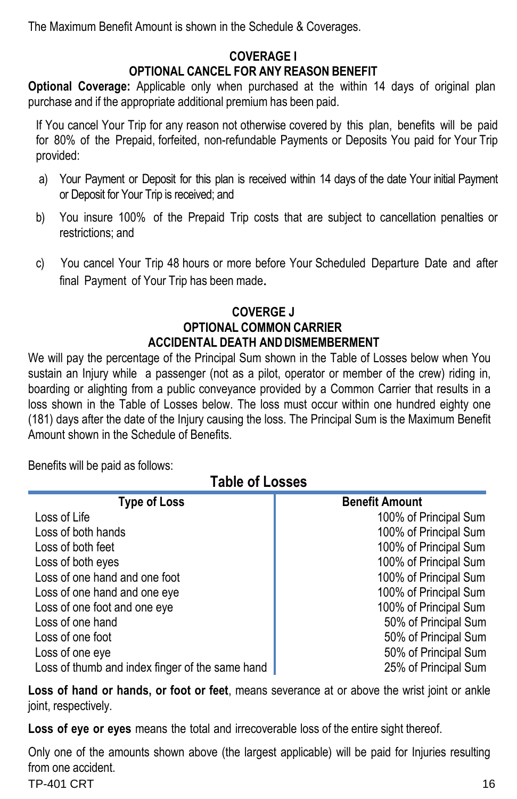The Maximum Benefit Amount is shown in the Schedule & Coverages.

#### **COVERAGE I OPTIONAL CANCEL FOR ANY REASON BENEFIT**

**Optional Coverage:** Applicable only when purchased at the within 14 days of original plan purchase and if the appropriate additional premium has been paid.

If You cancel Your Trip for any reason not otherwise covered by this plan, benefits will be paid for 80% of the Prepaid, forfeited, non-refundable Payments or Deposits You paid for Your Trip provided:

- a) Your Payment or Deposit for this plan is received within 14 days of the date Your initial Payment or Deposit for Your Trip is received; and
- b) You insure 100% of the Prepaid Trip costs that are subject to cancellation penalties or restrictions; and
- c) You cancel Your Trip 48 hours or more before Your Scheduled Departure Date and after final Payment of Your Trip has been made.

#### **COVERGE J OPTIONAL COMMON CARRIER ACCIDENTAL DEATH ANDDISMEMBERMENT**

We will pay the percentage of the Principal Sum shown in the Table of Losses below when You sustain an Injury while a passenger (not as a pilot, operator or member of the crew) riding in, boarding or alighting from a public conveyance provided by a Common Carrier that results in a loss shown in the Table of Losses below. The loss must occur within one hundred eighty one (181) days after the date of the Injury causing the loss. The Principal Sum is the Maximum Benefit Amount shown in the Schedule of Benefits.

Benefits will be paid as follows:

**Table of Losses**

| <b>Type of Loss</b>                             | <b>Benefit Amount</b> |
|-------------------------------------------------|-----------------------|
| Loss of Life                                    | 100% of Principal Sum |
| Loss of both hands                              | 100% of Principal Sum |
| Loss of both feet                               | 100% of Principal Sum |
| Loss of both eyes                               | 100% of Principal Sum |
| Loss of one hand and one foot                   | 100% of Principal Sum |
| Loss of one hand and one eye                    | 100% of Principal Sum |
| Loss of one foot and one eye                    | 100% of Principal Sum |
| Loss of one hand                                | 50% of Principal Sum  |
| Loss of one foot                                | 50% of Principal Sum  |
| Loss of one eye                                 | 50% of Principal Sum  |
| Loss of thumb and index finger of the same hand | 25% of Principal Sum  |

**Loss of hand or hands, or foot or feet**, means severance at or above the wrist joint or ankle joint, respectively.

**Loss of eye or eyes** means the total and irrecoverable loss of the entire sight thereof.

Only one of the amounts shown above (the largest applicable) will be paid for Injuries resulting from one accident.

 $TP-401$  CRT  $16$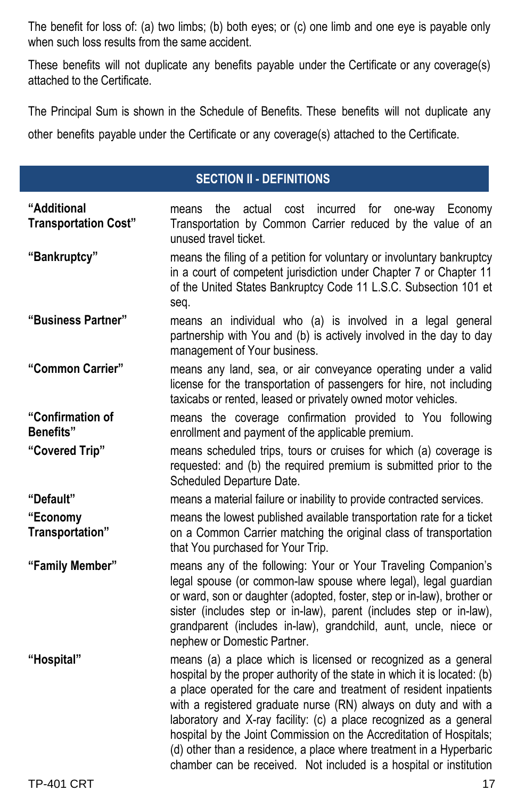The benefit for loss of: (a) two limbs; (b) both eyes; or (c) one limb and one eye is payable only when such loss results from the same accident.

These benefits will not duplicate any benefits payable under the Certificate or any coverage(s) attached to the Certificate.

The Principal Sum is shown in the Schedule of Benefits. These benefits will not duplicate any other benefits payable under the Certificate or any coverage(s) attached to the Certificate.

#### **SECTION II - DEFINITIONS**

| "Additional<br><b>Transportation Cost"</b> | actual cost incurred for one-way Economy<br>the<br>means<br>Transportation by Common Carrier reduced by the value of an<br>unused travel ticket.                                                                                                                                                                                                                                                                                                                                                                                                                               |
|--------------------------------------------|--------------------------------------------------------------------------------------------------------------------------------------------------------------------------------------------------------------------------------------------------------------------------------------------------------------------------------------------------------------------------------------------------------------------------------------------------------------------------------------------------------------------------------------------------------------------------------|
| "Bankruptcy"                               | means the filing of a petition for voluntary or involuntary bankruptcy<br>in a court of competent jurisdiction under Chapter 7 or Chapter 11<br>of the United States Bankruptcy Code 11 L.S.C. Subsection 101 et<br>seq.                                                                                                                                                                                                                                                                                                                                                       |
| "Business Partner"                         | means an individual who (a) is involved in a legal general<br>partnership with You and (b) is actively involved in the day to day<br>management of Your business.                                                                                                                                                                                                                                                                                                                                                                                                              |
| "Common Carrier"                           | means any land, sea, or air conveyance operating under a valid<br>license for the transportation of passengers for hire, not including<br>taxicabs or rented, leased or privately owned motor vehicles.                                                                                                                                                                                                                                                                                                                                                                        |
| "Confirmation of<br><b>Benefits"</b>       | means the coverage confirmation provided to You following<br>enrollment and payment of the applicable premium.                                                                                                                                                                                                                                                                                                                                                                                                                                                                 |
| "Covered Trip"                             | means scheduled trips, tours or cruises for which (a) coverage is<br>requested: and (b) the required premium is submitted prior to the<br>Scheduled Departure Date.                                                                                                                                                                                                                                                                                                                                                                                                            |
| "Default"                                  | means a material failure or inability to provide contracted services.                                                                                                                                                                                                                                                                                                                                                                                                                                                                                                          |
| "Economy<br>Transportation"                | means the lowest published available transportation rate for a ticket<br>on a Common Carrier matching the original class of transportation<br>that You purchased for Your Trip.                                                                                                                                                                                                                                                                                                                                                                                                |
| "Family Member"                            | means any of the following: Your or Your Traveling Companion's<br>legal spouse (or common-law spouse where legal), legal guardian<br>or ward, son or daughter (adopted, foster, step or in-law), brother or<br>sister (includes step or in-law), parent (includes step or in-law),<br>grandparent (includes in-law), grandchild, aunt, uncle, niece or<br>nephew or Domestic Partner.                                                                                                                                                                                          |
| "Hospital"                                 | means (a) a place which is licensed or recognized as a general<br>hospital by the proper authority of the state in which it is located: (b)<br>a place operated for the care and treatment of resident inpatients<br>with a registered graduate nurse (RN) always on duty and with a<br>laboratory and X-ray facility: (c) a place recognized as a general<br>hospital by the Joint Commission on the Accreditation of Hospitals;<br>(d) other than a residence, a place where treatment in a Hyperbaric<br>chamber can be received. Not included is a hospital or institution |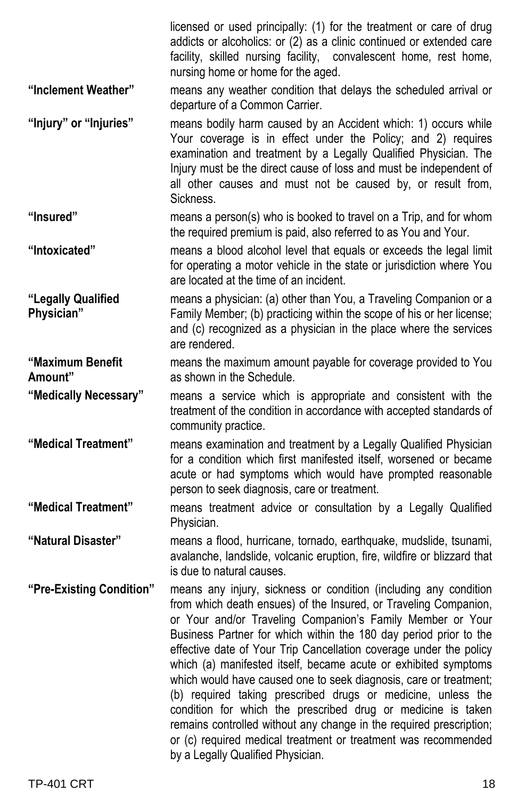licensed or used principally: (1) for the treatment or care of drug addicts or alcoholics: or (2) as a clinic continued or extended care facility, skilled nursing facility, convalescent home, rest home, nursing home or home for the aged. **"Inclement Weather"** means any weather condition that delays the scheduled arrival or departure of a Common Carrier. **"Injury" or "Injuries"** means bodily harm caused by an Accident which: 1) occurs while Your coverage is in effect under the Policy; and 2) requires examination and treatment by a Legally Qualified Physician. The Injury must be the direct cause of loss and must be independent of all other causes and must not be caused by, or result from, Sickness. **"Insured"** means a person(s) who is booked to travel on a Trip, and for whom the required premium is paid, also referred to as You and Your. **"Intoxicated"** means a blood alcohol level that equals or exceeds the legal limit for operating a motor vehicle in the state or jurisdiction where You are located at the time of an incident. **"Legally Qualified Physician"** means a physician: (a) other than You, a Traveling Companion or a Family Member; (b) practicing within the scope of his or her license; and (c) recognized as a physician in the place where the services are rendered. **"Maximum Benefit Amount"** means the maximum amount payable for coverage provided to You as shown in the Schedule. **"Medically Necessary"** means a service which is appropriate and consistent with the treatment of the condition in accordance with accepted standards of community practice. **"Medical Treatment"** means examination and treatment by a Legally Qualified Physician for a condition which first manifested itself, worsened or became acute or had symptoms which would have prompted reasonable person to seek diagnosis, care or treatment. **"Medical Treatment"** means treatment advice or consultation by a Legally Qualified Physician. **"Natural Disaster"** means a flood, hurricane, tornado, earthquake, mudslide, tsunami, avalanche, landslide, volcanic eruption, fire, wildfire or blizzard that is due to natural causes. **"Pre-Existing Condition"** means any injury, sickness or condition (including any condition from which death ensues) of the Insured, or Traveling Companion, or Your and/or Traveling Companion's Family Member or Your Business Partner for which within the 180 day period prior to the effective date of Your Trip Cancellation coverage under the policy which (a) manifested itself, became acute or exhibited symptoms which would have caused one to seek diagnosis, care or treatment; (b) required taking prescribed drugs or medicine, unless the condition for which the prescribed drug or medicine is taken remains controlled without any change in the required prescription; or (c) required medical treatment or treatment was recommended by a Legally Qualified Physician.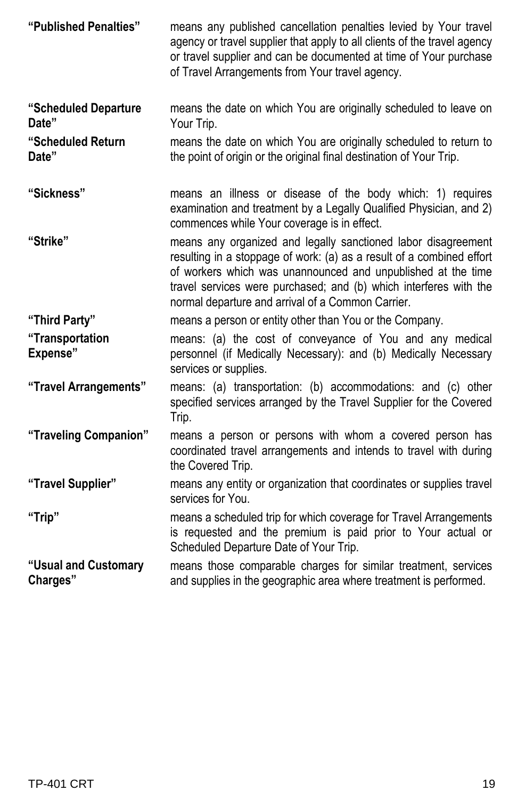| "Published Penalties"              | means any published cancellation penalties levied by Your travel<br>agency or travel supplier that apply to all clients of the travel agency<br>or travel supplier and can be documented at time of Your purchase<br>of Travel Arrangements from Your travel agency.                                                             |
|------------------------------------|----------------------------------------------------------------------------------------------------------------------------------------------------------------------------------------------------------------------------------------------------------------------------------------------------------------------------------|
| "Scheduled Departure<br>Date"      | means the date on which You are originally scheduled to leave on<br>Your Trip.                                                                                                                                                                                                                                                   |
| "Scheduled Return<br>Date"         | means the date on which You are originally scheduled to return to<br>the point of origin or the original final destination of Your Trip.                                                                                                                                                                                         |
| "Sickness"                         | means an illness or disease of the body which: 1) requires<br>examination and treatment by a Legally Qualified Physician, and 2)<br>commences while Your coverage is in effect.                                                                                                                                                  |
| "Strike"                           | means any organized and legally sanctioned labor disagreement<br>resulting in a stoppage of work: (a) as a result of a combined effort<br>of workers which was unannounced and unpublished at the time<br>travel services were purchased; and (b) which interferes with the<br>normal departure and arrival of a Common Carrier. |
| "Third Party"                      | means a person or entity other than You or the Company.                                                                                                                                                                                                                                                                          |
| "Transportation<br><b>Expense"</b> | means: (a) the cost of conveyance of You and any medical<br>personnel (if Medically Necessary): and (b) Medically Necessary<br>services or supplies.                                                                                                                                                                             |
| "Travel Arrangements"              | means: (a) transportation: (b) accommodations: and (c) other<br>specified services arranged by the Travel Supplier for the Covered<br>Trip.                                                                                                                                                                                      |
| "Traveling Companion"              | means a person or persons with whom a covered person has<br>coordinated travel arrangements and intends to travel with during<br>the Covered Trip.                                                                                                                                                                               |
| "Travel Supplier"                  | means any entity or organization that coordinates or supplies travel<br>services for You.                                                                                                                                                                                                                                        |
| "Trip"                             | means a scheduled trip for which coverage for Travel Arrangements<br>is requested and the premium is paid prior to Your actual or<br>Scheduled Departure Date of Your Trip.                                                                                                                                                      |
| "Usual and Customary<br>Charges"   | means those comparable charges for similar treatment, services<br>and supplies in the geographic area where treatment is performed.                                                                                                                                                                                              |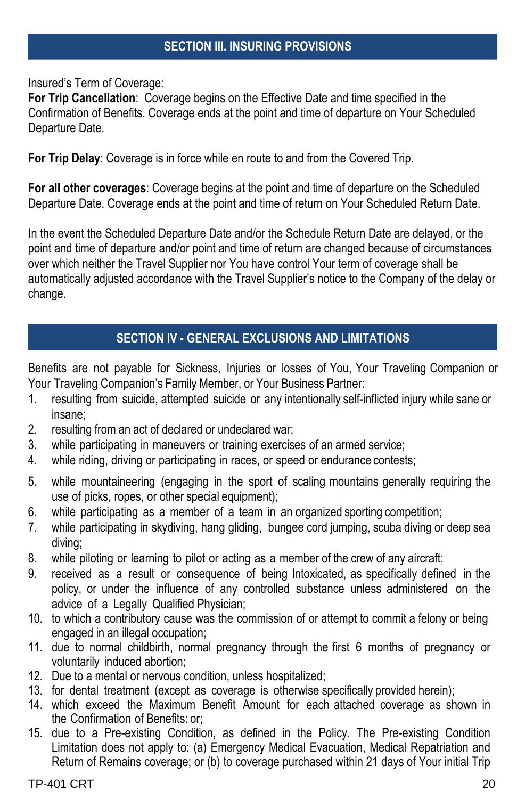#### **SECTION III. INSURING PROVISIONS**

Insured's Term of Coverage:

**For Trip Cancellation**: Coverage begins on the Effective Date and time specified in the Confirmation of Benefits. Coverage ends at the point and time of departure on Your Scheduled Departure Date.

**For Trip Delay**: Coverage is in force while en route to and from the Covered Trip.

**For all other coverages**: Coverage begins at the point and time of departure on the Scheduled Departure Date. Coverage ends at the point and time of return on Your Scheduled Return Date.

In the event the Scheduled Departure Date and/or the Schedule Return Date are delayed, or the point and time of departure and/or point and time of return are changed because of circumstances over which neither the Travel Supplier nor You have control Your term of coverage shall be automatically adjusted accordance with the Travel Supplier's notice to the Company of the delay or change.

#### **SECTION IV - GENERAL EXCLUSIONS AND LIMITATIONS**

Benefits are not payable for Sickness, Injuries or losses of You, Your Traveling Companion or Your Traveling Companion's Family Member, or Your Business Partner:

- 1. resulting from suicide, attempted suicide or any intentionally self-inflicted injury while sane or insane;
- 2. resulting from an act of declared or undeclared war;
- 3. while participating in maneuvers or training exercises of an armed service;
- 4. while riding, driving or participating in races, or speed or endurance contests;
- 5. while mountaineering (engaging in the sport of scaling mountains generally requiring the use of picks, ropes, or other special equipment);
- 6. while participating as a member of a team in an organized sporting competition;
- 7. while participating in skydiving, hang gliding, bungee cord jumping, scuba diving or deep sea diving;
- 8. while piloting or learning to pilot or acting as a member of the crew of any aircraft;
- 9. received as a result or consequence of being Intoxicated, as specifically defined in the policy, or under the influence of any controlled substance unless administered on the advice of a Legally Qualified Physician;
- 10. to which a contributory cause was the commission of or attempt to commit a felony or being engaged in an illegal occupation;
- 11. due to normal childbirth, normal pregnancy through the first 6 months of pregnancy or voluntarily induced abortion;
- 12. Due to a mental or nervous condition, unless hospitalized;
- 13. for dental treatment (except as coverage is otherwise specifically provided herein);
- 14. which exceed the Maximum Benefit Amount for each attached coverage as shown in the Confirmation of Benefits: or;
- 15. due to a Pre-existing Condition, as defined in the Policy. The Pre-existing Condition Limitation does not apply to: (a) Emergency Medical Evacuation, Medical Repatriation and Return of Remains coverage; or (b) to coverage purchased within 21 days of Your initial Trip

TP-401 CRT 20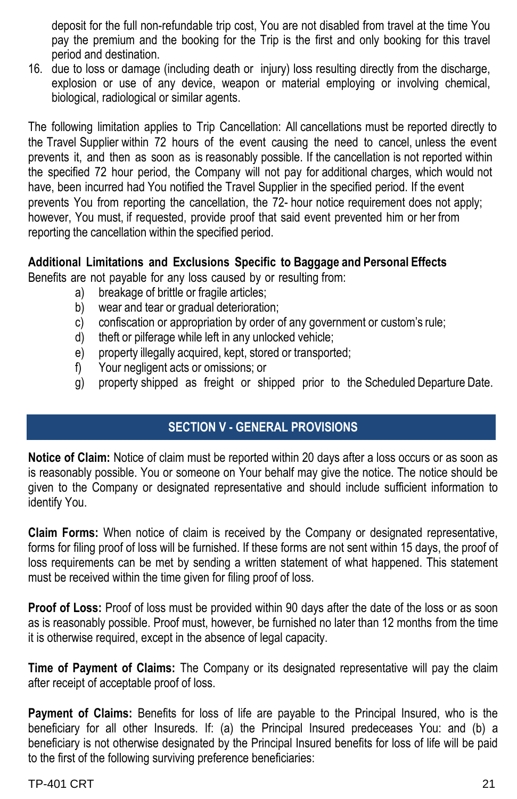deposit for the full non-refundable trip cost, You are not disabled from travel at the time You pay the premium and the booking for the Trip is the first and only booking for this travel period and destination.

16. due to loss or damage (including death or injury) loss resulting directly from the discharge, explosion or use of any device, weapon or material employing or involving chemical, biological, radiological or similar agents.

The following limitation applies to Trip Cancellation: All cancellations must be reported directly to the Travel Supplier within 72 hours of the event causing the need to cancel, unless the event prevents it, and then as soon as is reasonably possible. If the cancellation is not reported within the specified 72 hour period, the Company will not pay for additional charges, which would not have, been incurred had You notified the Travel Supplier in the specified period. If the event prevents You from reporting the cancellation, the 72- hour notice requirement does not apply; however, You must, if requested, provide proof that said event prevented him or her from reporting the cancellation within the specified period.

#### **Additional Limitations and Exclusions Specific to Baggage and Personal Effects**

Benefits are not payable for any loss caused by or resulting from:

- a) breakage of brittle or fragile articles:
- b) wear and tear or gradual deterioration;
- c) confiscation or appropriation by order of any government or custom's rule;
- d) theft or pilferage while left in any unlocked vehicle;
- e) property illegally acquired, kept, stored or transported;
- f) Your negligent acts or omissions; or
- g) property shipped as freight or shipped prior to the Scheduled Departure Date.

#### **SECTION V - GENERAL PROVISIONS**

**Notice of Claim:** Notice of claim must be reported within 20 days after a loss occurs or as soon as is reasonably possible. You or someone on Your behalf may give the notice. The notice should be given to the Company or designated representative and should include sufficient information to identify You.

**Claim Forms:** When notice of claim is received by the Company or designated representative, forms for filing proof of loss will be furnished. If these forms are not sent within 15 days, the proof of loss requirements can be met by sending a written statement of what happened. This statement must be received within the time given for filing proof of loss.

**Proof of Loss:** Proof of loss must be provided within 90 days after the date of the loss or as soon as is reasonably possible. Proof must, however, be furnished no later than 12 months from the time it is otherwise required, except in the absence of legal capacity.

**Time of Payment of Claims:** The Company or its designated representative will pay the claim after receipt of acceptable proof of loss.

**Payment of Claims:** Benefits for loss of life are payable to the Principal Insured, who is the beneficiary for all other Insureds. If: (a) the Principal Insured predeceases You: and (b) a beneficiary is not otherwise designated by the Principal Insured benefits for loss of life will be paid to the first of the following surviving preference beneficiaries: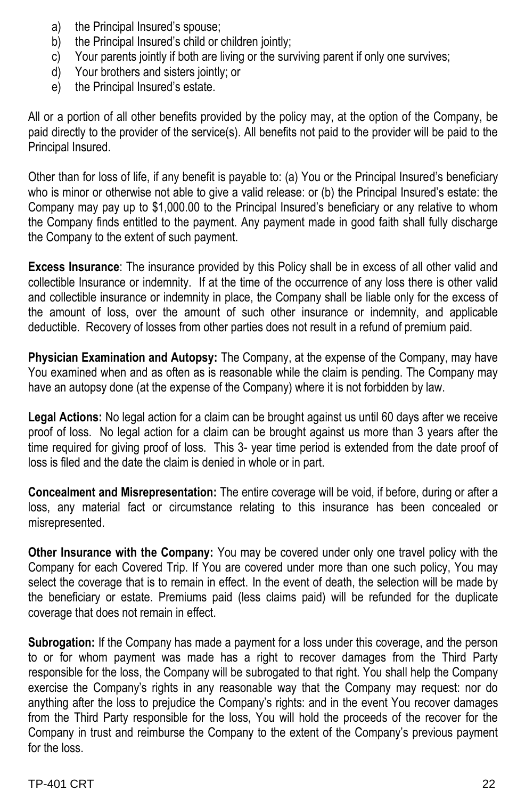- a) the Principal Insured's spouse;
- b) the Principal Insured's child or children jointly;
- c) Your parents jointly if both are living or the surviving parent if only one survives;
- d) Your brothers and sisters jointly; or
- e) the Principal Insured's estate.

All or a portion of all other benefits provided by the policy may, at the option of the Company, be paid directly to the provider of the service(s). All benefits not paid to the provider will be paid to the Principal Insured.

Other than for loss of life, if any benefit is payable to: (a) You or the Principal Insured's beneficiary who is minor or otherwise not able to give a valid release: or (b) the Principal Insured's estate: the Company may pay up to \$1,000.00 to the Principal Insured's beneficiary or any relative to whom the Company finds entitled to the payment. Any payment made in good faith shall fully discharge the Company to the extent of such payment.

**Excess Insurance**: The insurance provided by this Policy shall be in excess of all other valid and collectible Insurance or indemnity. If at the time of the occurrence of any loss there is other valid and collectible insurance or indemnity in place, the Company shall be liable only for the excess of the amount of loss, over the amount of such other insurance or indemnity, and applicable deductible. Recovery of losses from other parties does not result in a refund of premium paid.

**Physician Examination and Autopsy:** The Company, at the expense of the Company, may have You examined when and as often as is reasonable while the claim is pending. The Company may have an autopsy done (at the expense of the Company) where it is not forbidden by law.

**Legal Actions:** No legal action for a claim can be brought against us until 60 days after we receive proof of loss. No legal action for a claim can be brought against us more than 3 years after the time required for giving proof of loss. This 3- year time period is extended from the date proof of loss is filed and the date the claim is denied in whole or in part.

**Concealment and Misrepresentation:** The entire coverage will be void, if before, during or after a loss, any material fact or circumstance relating to this insurance has been concealed or misrepresented.

**Other Insurance with the Company:** You may be covered under only one travel policy with the Company for each Covered Trip. If You are covered under more than one such policy, You may select the coverage that is to remain in effect. In the event of death, the selection will be made by the beneficiary or estate. Premiums paid (less claims paid) will be refunded for the duplicate coverage that does not remain in effect.

**Subrogation:** If the Company has made a payment for a loss under this coverage, and the person to or for whom payment was made has a right to recover damages from the Third Party responsible for the loss, the Company will be subrogated to that right. You shall help the Company exercise the Company's rights in any reasonable way that the Company may request: nor do anything after the loss to prejudice the Company's rights: and in the event You recover damages from the Third Party responsible for the loss, You will hold the proceeds of the recover for the Company in trust and reimburse the Company to the extent of the Company's previous payment for the loss.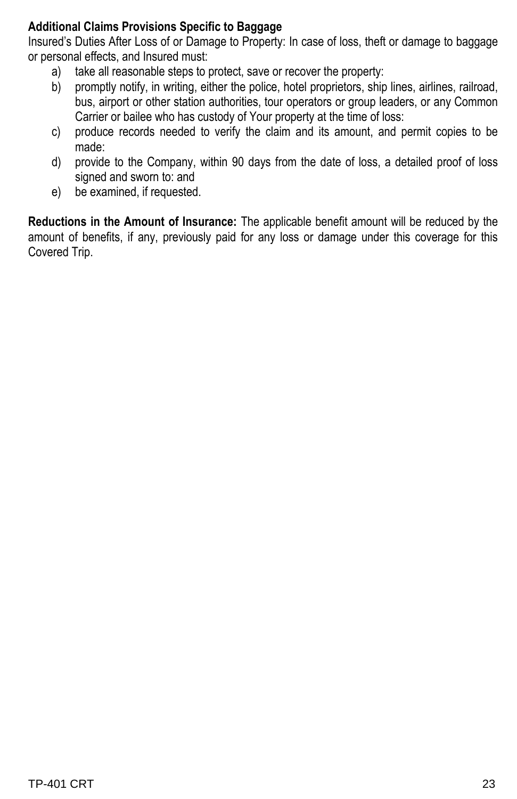#### **Additional Claims Provisions Specific to Baggage**

Insured's Duties After Loss of or Damage to Property: In case of loss, theft or damage to baggage or personal effects, and Insured must:

- a) take all reasonable steps to protect, save or recover the property:
- b) promptly notify, in writing, either the police, hotel proprietors, ship lines, airlines, railroad, bus, airport or other station authorities, tour operators or group leaders, or any Common Carrier or bailee who has custody of Your property at the time of loss:
- c) produce records needed to verify the claim and its amount, and permit copies to be made:
- d) provide to the Company, within 90 days from the date of loss, a detailed proof of loss signed and sworn to: and
- e) be examined, if requested.

**Reductions in the Amount of Insurance:** The applicable benefit amount will be reduced by the amount of benefits, if any, previously paid for any loss or damage under this coverage for this Covered Trip.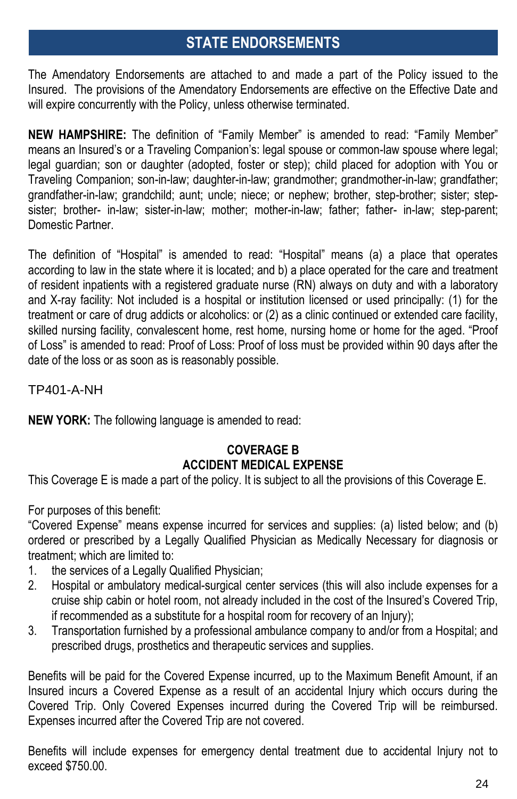## **STATE ENDORSEMENTS**

The Amendatory Endorsements are attached to and made a part of the Policy issued to the Insured. The provisions of the Amendatory Endorsements are effective on the Effective Date and will expire concurrently with the Policy, unless otherwise terminated.

**NEW HAMPSHIRE:** The definition of "Family Member" is amended to read: "Family Member" means an Insured's or a Traveling Companion's: legal spouse or common-law spouse where legal; legal guardian; son or daughter (adopted, foster or step); child placed for adoption with You or Traveling Companion; son-in-law; daughter-in-law; grandmother; grandmother-in-law; grandfather; grandfather-in-law; grandchild; aunt; uncle; niece; or nephew; brother, step-brother; sister; stepsister; brother- in-law; sister-in-law; mother; mother-in-law; father; father- in-law; step-parent; Domestic Partner.

The definition of "Hospital" is amended to read: "Hospital" means (a) a place that operates according to law in the state where it is located; and b) a place operated for the care and treatment of resident inpatients with a registered graduate nurse (RN) always on duty and with a laboratory and X-ray facility: Not included is a hospital or institution licensed or used principally: (1) for the treatment or care of drug addicts or alcoholics: or (2) as a clinic continued or extended care facility, skilled nursing facility, convalescent home, rest home, nursing home or home for the aged. "Proof of Loss" is amended to read: Proof of Loss: Proof of loss must be provided within 90 days after the date of the loss or as soon as is reasonably possible.

TP401-A-NH

**NEW YORK:** The following language is amended to read:

#### **COVERAGE B ACCIDENT MEDICAL EXPENSE**

This Coverage E is made a part of the policy. It is subject to all the provisions of this Coverage E.

For purposes of this benefit:

"Covered Expense" means expense incurred for services and supplies: (a) listed below; and (b) ordered or prescribed by a Legally Qualified Physician as Medically Necessary for diagnosis or treatment; which are limited to:

- 1. the services of a Legally Qualified Physician;
- 2. Hospital or ambulatory medical-surgical center services (this will also include expenses for a cruise ship cabin or hotel room, not already included in the cost of the Insured's Covered Trip, if recommended as a substitute for a hospital room for recovery of an Injury);
- 3. Transportation furnished by a professional ambulance company to and/or from a Hospital; and prescribed drugs, prosthetics and therapeutic services and supplies.

Benefits will be paid for the Covered Expense incurred, up to the Maximum Benefit Amount, if an Insured incurs a Covered Expense as a result of an accidental Injury which occurs during the Covered Trip. Only Covered Expenses incurred during the Covered Trip will be reimbursed. Expenses incurred after the Covered Trip are not covered.

Benefits will include expenses for emergency dental treatment due to accidental Injury not to exceed \$750.00.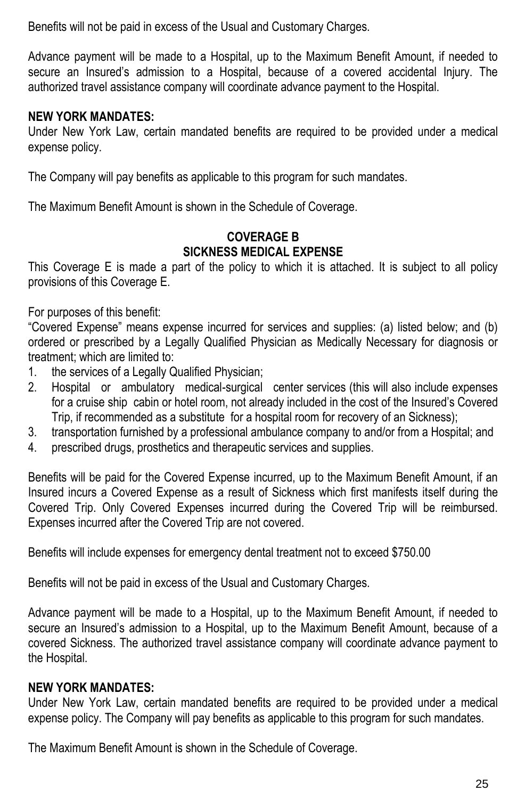Benefits will not be paid in excess of the Usual and Customary Charges.

Advance payment will be made to a Hospital, up to the Maximum Benefit Amount, if needed to secure an Insured's admission to a Hospital, because of a covered accidental Injury. The authorized travel assistance company will coordinate advance payment to the Hospital.

#### **NEW YORK MANDATES:**

Under New York Law, certain mandated benefits are required to be provided under a medical expense policy.

The Company will pay benefits as applicable to this program for such mandates.

The Maximum Benefit Amount is shown in the Schedule of Coverage.

#### **COVERAGE B SICKNESS MEDICAL EXPENSE**

This Coverage E is made a part of the policy to which it is attached. It is subject to all policy provisions of this Coverage E.

For purposes of this benefit:

"Covered Expense" means expense incurred for services and supplies: (a) listed below; and (b) ordered or prescribed by a Legally Qualified Physician as Medically Necessary for diagnosis or treatment; which are limited to:

- 1. the services of a Legally Qualified Physician;
- 2. Hospital or ambulatory medical-surgical center services (this will also include expenses for a cruise ship cabin or hotel room, not already included in the cost of the Insured's Covered Trip, if recommended as a substitute for a hospital room for recovery of an Sickness);
- 3. transportation furnished by a professional ambulance company to and/or from a Hospital; and
- 4. prescribed drugs, prosthetics and therapeutic services and supplies.

Benefits will be paid for the Covered Expense incurred, up to the Maximum Benefit Amount, if an Insured incurs a Covered Expense as a result of Sickness which first manifests itself during the Covered Trip. Only Covered Expenses incurred during the Covered Trip will be reimbursed. Expenses incurred after the Covered Trip are not covered.

Benefits will include expenses for emergency dental treatment not to exceed \$750.00

Benefits will not be paid in excess of the Usual and Customary Charges.

Advance payment will be made to a Hospital, up to the Maximum Benefit Amount, if needed to secure an Insured's admission to a Hospital, up to the Maximum Benefit Amount, because of a covered Sickness. The authorized travel assistance company will coordinate advance payment to the Hospital.

#### **NEW YORK MANDATES:**

Under New York Law, certain mandated benefits are required to be provided under a medical expense policy. The Company will pay benefits as applicable to this program for such mandates.

The Maximum Benefit Amount is shown in the Schedule of Coverage.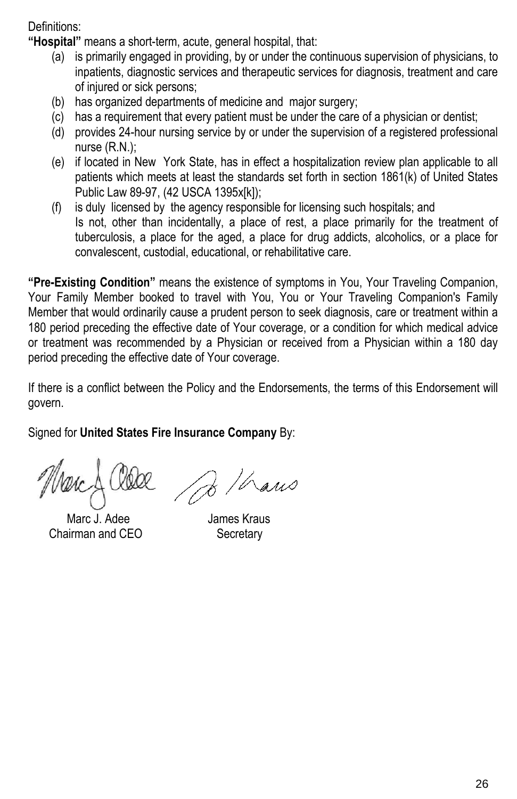Definitions:

**"Hospital"** means a short-term, acute, general hospital, that:

- (a) is primarily engaged in providing, by or under the continuous supervision of physicians, to inpatients, diagnostic services and therapeutic services for diagnosis, treatment and care of injured or sick persons;
- (b) has organized departments of medicine and major surgery;
- (c) has a requirement that every patient must be under the care of a physician or dentist;
- (d) provides 24-hour nursing service by or under the supervision of a registered professional nurse (R.N.);
- (e) if located in New York State, has in effect a hospitalization review plan applicable to all patients which meets at least the standards set forth in section 1861(k) of United States Public Law 89-97, (42 USCA 1395x[k]);
- (f) is duly licensed by the agency responsible for licensing such hospitals; and Is not, other than incidentally, a place of rest, a place primarily for the treatment of tuberculosis, a place for the aged, a place for drug addicts, alcoholics, or a place for convalescent, custodial, educational, or rehabilitative care.

**"Pre-Existing Condition"** means the existence of symptoms in You, Your Traveling Companion, Your Family Member booked to travel with You, You or Your Traveling Companion's Family Member that would ordinarily cause a prudent person to seek diagnosis, care or treatment within a 180 period preceding the effective date of Your coverage, or a condition for which medical advice or treatment was recommended by a Physician or received from a Physician within a 180 day period preceding the effective date of Your coverage.

If there is a conflict between the Policy and the Endorsements, the terms of this Endorsement will govern.

Signed for **United States Fire Insurance Company** By:

Marc J. Adee James Kraus Chairman and CEO Secretary

B / hans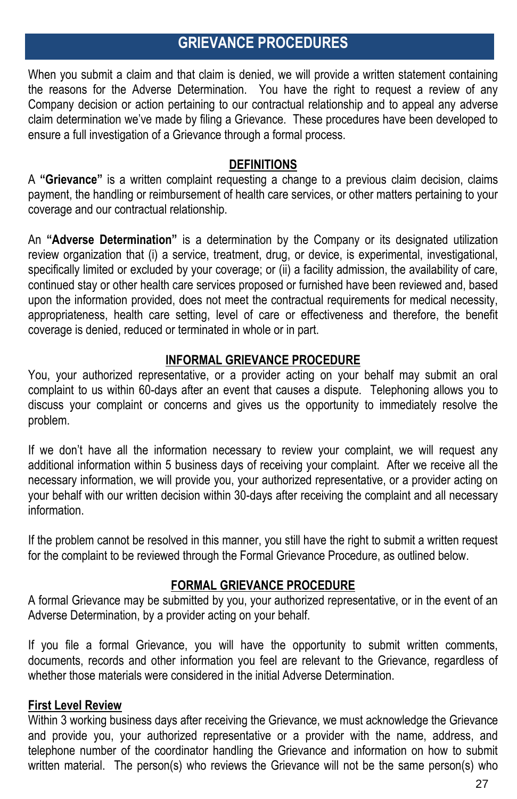## **GRIEVANCE PROCEDURES**

When you submit a claim and that claim is denied, we will provide a written statement containing the reasons for the Adverse Determination. You have the right to request a review of any Company decision or action pertaining to our contractual relationship and to appeal any adverse claim determination we've made by filing a Grievance. These procedures have been developed to ensure a full investigation of a Grievance through a formal process.

#### **DEFINITIONS**

A **"Grievance"** is a written complaint requesting a change to a previous claim decision, claims payment, the handling or reimbursement of health care services, or other matters pertaining to your coverage and our contractual relationship.

An **"Adverse Determination"** is a determination by the Company or its designated utilization review organization that (i) a service, treatment, drug, or device, is experimental, investigational, specifically limited or excluded by your coverage; or (ii) a facility admission, the availability of care, continued stay or other health care services proposed or furnished have been reviewed and, based upon the information provided, does not meet the contractual requirements for medical necessity, appropriateness, health care setting, level of care or effectiveness and therefore, the benefit coverage is denied, reduced or terminated in whole or in part.

#### **INFORMAL GRIEVANCE PROCEDURE**

You, your authorized representative, or a provider acting on your behalf may submit an oral complaint to us within 60-days after an event that causes a dispute. Telephoning allows you to discuss your complaint or concerns and gives us the opportunity to immediately resolve the problem.

If we don't have all the information necessary to review your complaint, we will request any additional information within 5 business days of receiving your complaint. After we receive all the necessary information, we will provide you, your authorized representative, or a provider acting on your behalf with our written decision within 30-days after receiving the complaint and all necessary information.

If the problem cannot be resolved in this manner, you still have the right to submit a written request for the complaint to be reviewed through the Formal Grievance Procedure, as outlined below.

#### **FORMAL GRIEVANCE PROCEDURE**

A formal Grievance may be submitted by you, your authorized representative, or in the event of an Adverse Determination, by a provider acting on your behalf.

If you file a formal Grievance, you will have the opportunity to submit written comments, documents, records and other information you feel are relevant to the Grievance, regardless of whether those materials were considered in the initial Adverse Determination.

#### **First Level Review**

Within 3 working business days after receiving the Grievance, we must acknowledge the Grievance and provide you, your authorized representative or a provider with the name, address, and telephone number of the coordinator handling the Grievance and information on how to submit written material. The person(s) who reviews the Grievance will not be the same person(s) who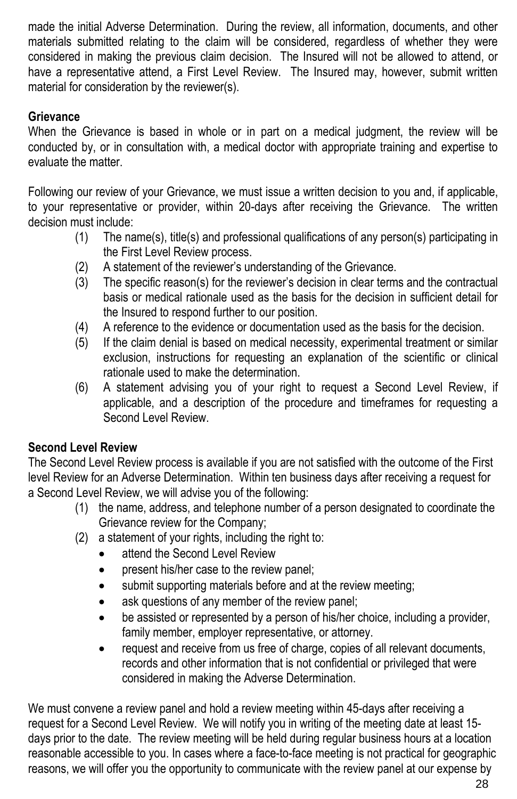made the initial Adverse Determination. During the review, all information, documents, and other materials submitted relating to the claim will be considered, regardless of whether they were considered in making the previous claim decision. The Insured will not be allowed to attend, or have a representative attend, a First Level Review. The Insured may, however, submit written material for consideration by the reviewer(s).

#### **Grievance**

When the Grievance is based in whole or in part on a medical judgment, the review will be conducted by, or in consultation with, a medical doctor with appropriate training and expertise to evaluate the matter.

Following our review of your Grievance, we must issue a written decision to you and, if applicable, to your representative or provider, within 20-days after receiving the Grievance. The written decision must include:

- (1) The name(s), title(s) and professional qualifications of any person(s) participating in the First Level Review process.
- (2) A statement of the reviewer's understanding of the Grievance.
- (3) The specific reason(s) for the reviewer's decision in clear terms and the contractual basis or medical rationale used as the basis for the decision in sufficient detail for the Insured to respond further to our position.
- (4) A reference to the evidence or documentation used as the basis for the decision.
- $(5)$  If the claim denial is based on medical necessity, experimental treatment or similar exclusion, instructions for requesting an explanation of the scientific or clinical rationale used to make the determination.
- (6) A statement advising you of your right to request a Second Level Review, if applicable, and a description of the procedure and timeframes for requesting a Second Level Review.

#### **Second Level Review**

The Second Level Review process is available if you are not satisfied with the outcome of the First level Review for an Adverse Determination. Within ten business days after receiving a request for a Second Level Review, we will advise you of the following:

- (1) the name, address, and telephone number of a person designated to coordinate the Grievance review for the Company;
- (2) a statement of your rights, including the right to:
	- attend the Second Level Review
	- present his/her case to the review panel:
	- submit supporting materials before and at the review meeting;
	- ask questions of any member of the review panel;
	- be assisted or represented by a person of his/her choice, including a provider, family member, employer representative, or attorney.
	- request and receive from us free of charge, copies of all relevant documents, records and other information that is not confidential or privileged that were considered in making the Adverse Determination.

We must convene a review panel and hold a review meeting within 45-days after receiving a request for a Second Level Review. We will notify you in writing of the meeting date at least 15 days prior to the date. The review meeting will be held during regular business hours at a location reasonable accessible to you. In cases where a face-to-face meeting is not practical for geographic reasons, we will offer you the opportunity to communicate with the review panel at our expense by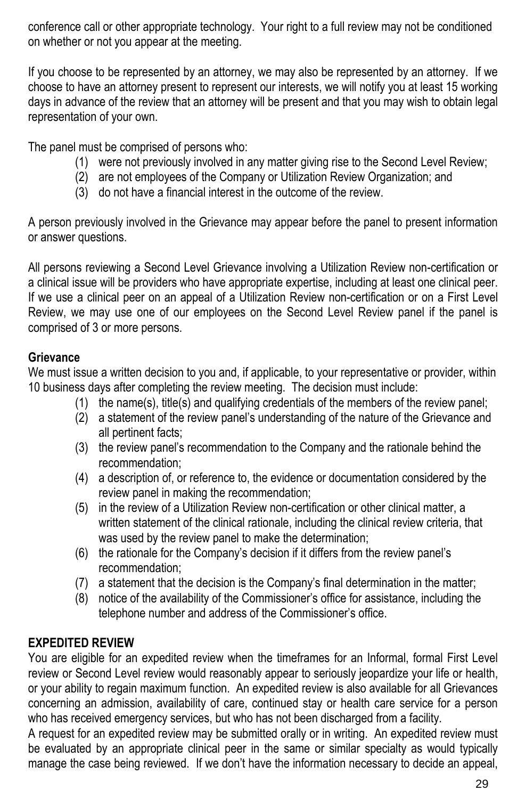conference call or other appropriate technology. Your right to a full review may not be conditioned on whether or not you appear at the meeting.

If you choose to be represented by an attorney, we may also be represented by an attorney. If we choose to have an attorney present to represent our interests, we will notify you at least 15 working days in advance of the review that an attorney will be present and that you may wish to obtain legal representation of your own.

The panel must be comprised of persons who:

- (1) were not previously involved in any matter giving rise to the Second Level Review;
- (2) are not employees of the Company or Utilization Review Organization; and
- (3) do not have a financial interest in the outcome of the review.

A person previously involved in the Grievance may appear before the panel to present information or answer questions.

All persons reviewing a Second Level Grievance involving a Utilization Review non-certification or a clinical issue will be providers who have appropriate expertise, including at least one clinical peer. If we use a clinical peer on an appeal of a Utilization Review non-certification or on a First Level Review, we may use one of our employees on the Second Level Review panel if the panel is comprised of 3 or more persons.

#### **Grievance**

We must issue a written decision to you and, if applicable, to your representative or provider, within 10 business days after completing the review meeting. The decision must include:

- (1) the name(s), title(s) and qualifying credentials of the members of the review panel;
- (2) a statement of the review panel's understanding of the nature of the Grievance and all pertinent facts;
- (3) the review panel's recommendation to the Company and the rationale behind the recommendation;
- (4) a description of, or reference to, the evidence or documentation considered by the review panel in making the recommendation;
- (5) in the review of a Utilization Review non-certification or other clinical matter, a written statement of the clinical rationale, including the clinical review criteria, that was used by the review panel to make the determination;
- (6) the rationale for the Company's decision if it differs from the review panel's recommendation;
- (7) a statement that the decision is the Company's final determination in the matter;
- (8) notice of the availability of the Commissioner's office for assistance, including the telephone number and address of the Commissioner's office.

#### **EXPEDITED REVIEW**

You are eligible for an expedited review when the timeframes for an Informal, formal First Level review or Second Level review would reasonably appear to seriously jeopardize your life or health, or your ability to regain maximum function. An expedited review is also available for all Grievances concerning an admission, availability of care, continued stay or health care service for a person who has received emergency services, but who has not been discharged from a facility.

A request for an expedited review may be submitted orally or in writing. An expedited review must be evaluated by an appropriate clinical peer in the same or similar specialty as would typically manage the case being reviewed. If we don't have the information necessary to decide an appeal,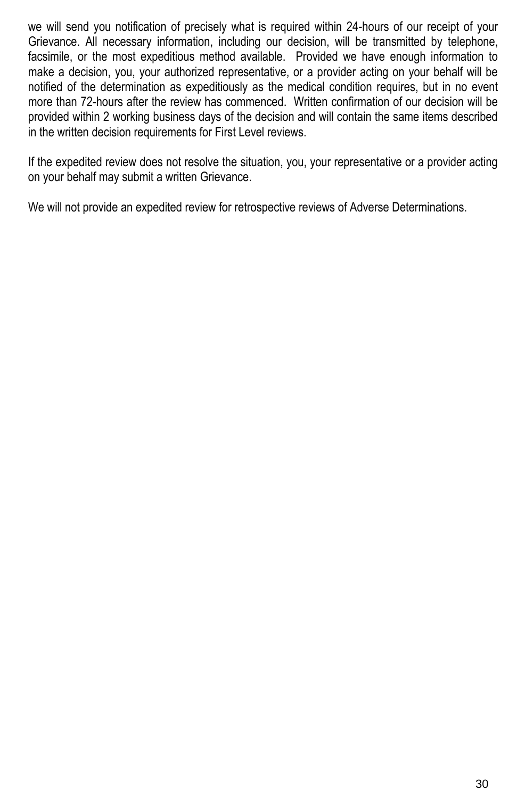we will send you notification of precisely what is required within 24-hours of our receipt of your Grievance. All necessary information, including our decision, will be transmitted by telephone, facsimile, or the most expeditious method available. Provided we have enough information to make a decision, you, your authorized representative, or a provider acting on your behalf will be notified of the determination as expeditiously as the medical condition requires, but in no event more than 72-hours after the review has commenced. Written confirmation of our decision will be provided within 2 working business days of the decision and will contain the same items described in the written decision requirements for First Level reviews.

If the expedited review does not resolve the situation, you, your representative or a provider acting on your behalf may submit a written Grievance.

We will not provide an expedited review for retrospective reviews of Adverse Determinations.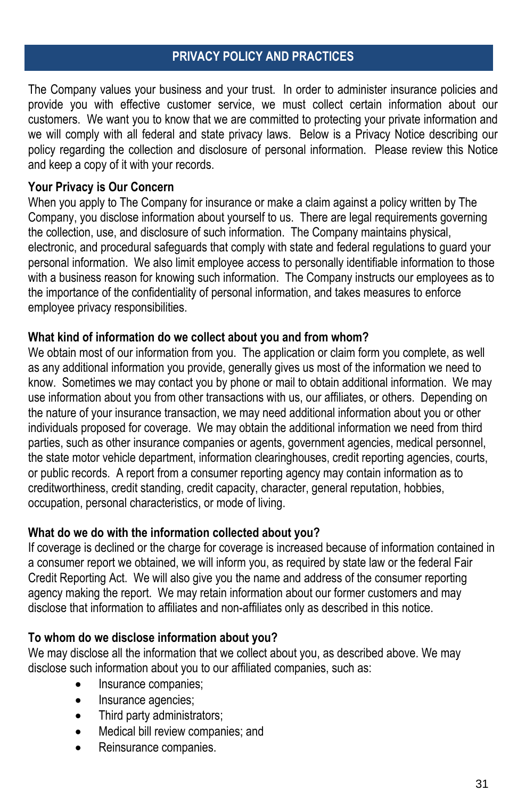#### **PRIVACY POLICY AND PRACTICES**

The Company values your business and your trust. In order to administer insurance policies and provide you with effective customer service, we must collect certain information about our customers. We want you to know that we are committed to protecting your private information and we will comply with all federal and state privacy laws. Below is a Privacy Notice describing our policy regarding the collection and disclosure of personal information. Please review this Notice and keep a copy of it with your records.

#### **Your Privacy is Our Concern**

When you apply to The Company for insurance or make a claim against a policy written by The Company, you disclose information about yourself to us. There are legal requirements governing the collection, use, and disclosure of such information. The Company maintains physical, electronic, and procedural safeguards that comply with state and federal regulations to guard your personal information. We also limit employee access to personally identifiable information to those with a business reason for knowing such information. The Company instructs our employees as to the importance of the confidentiality of personal information, and takes measures to enforce employee privacy responsibilities.

#### **What kind of information do we collect about you and from whom?**

We obtain most of our information from you. The application or claim form you complete, as well as any additional information you provide, generally gives us most of the information we need to know. Sometimes we may contact you by phone or mail to obtain additional information. We may use information about you from other transactions with us, our affiliates, or others. Depending on the nature of your insurance transaction, we may need additional information about you or other individuals proposed for coverage. We may obtain the additional information we need from third parties, such as other insurance companies or agents, government agencies, medical personnel, the state motor vehicle department, information clearinghouses, credit reporting agencies, courts, or public records. A report from a consumer reporting agency may contain information as to creditworthiness, credit standing, credit capacity, character, general reputation, hobbies, occupation, personal characteristics, or mode of living.

#### **What do we do with the information collected about you?**

If coverage is declined or the charge for coverage is increased because of information contained in a consumer report we obtained, we will inform you, as required by state law or the federal Fair Credit Reporting Act. We will also give you the name and address of the consumer reporting agency making the report. We may retain information about our former customers and may disclose that information to affiliates and non-affiliates only as described in this notice.

#### **To whom do we disclose information about you?**

We may disclose all the information that we collect about you, as described above. We may disclose such information about you to our affiliated companies, such as:

- Insurance companies;
- Insurance agencies;
- Third party administrators;
- Medical bill review companies; and
- Reinsurance companies.